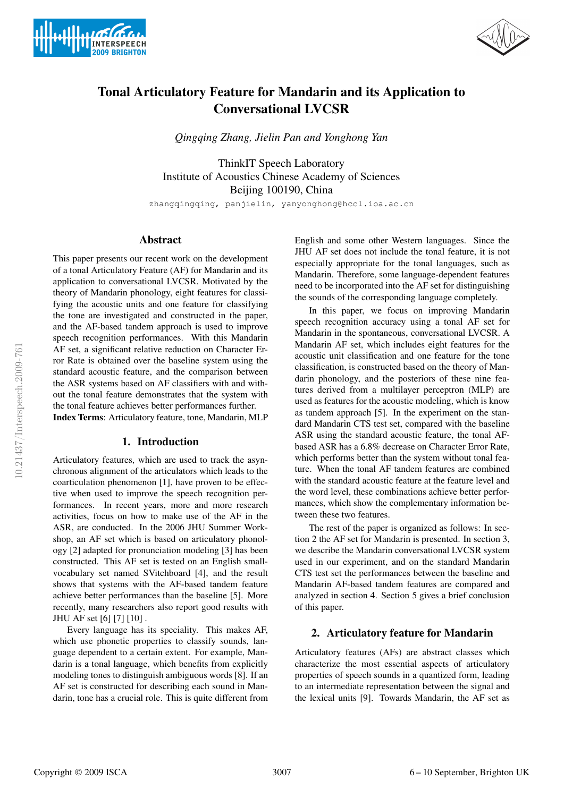



# Tonal Articulatory Feature for Mandarin and its Application to Conversational LVCSR

*Qingqing Zhang, Jielin Pan and Yonghong Yan*

ThinkIT Speech Laboratory Institute of Acoustics Chinese Academy of Sciences Beijing 100190, China

zhangqingqing, panjielin, yanyonghong@hccl.ioa.ac.cn

# Abstract

This paper presents our recent work on the development of a tonal Articulatory Feature (AF) for Mandarin and its application to conversational LVCSR. Motivated by the theory of Mandarin phonology, eight features for classifying the acoustic units and one feature for classifying the tone are investigated and constructed in the paper, and the AF-based tandem approach is used to improve speech recognition performances. With this Mandarin AF set, a significant relative reduction on Character Error Rate is obtained over the baseline system using the standard acoustic feature, and the comparison between the ASR systems based on AF classifiers with and without the tonal feature demonstrates that the system with the tonal feature achieves better performances further. Index Terms: Articulatory feature, tone, Mandarin, MLP

## 1. Introduction

Articulatory features, which are used to track the asynchronous alignment of the articulators which leads to the coarticulation phenomenon [1], have proven to be effective when used to improve the speech recognition performances. In recent years, more and more research activities, focus on how to make use of the AF in the ASR, are conducted. In the 2006 JHU Summer Workshop, an AF set which is based on articulatory phonology [2] adapted for pronunciation modeling [3] has been constructed. This AF set is tested on an English smallvocabulary set named SVitchboard [4], and the result shows that systems with the AF-based tandem feature achieve better performances than the baseline [5]. More recently, many researchers also report good results with JHU AF set [6] [7] [10] .

Every language has its speciality. This makes AF, which use phonetic properties to classify sounds, language dependent to a certain extent. For example, Mandarin is a tonal language, which benefits from explicitly modeling tones to distinguish ambiguous words [8]. If an AF set is constructed for describing each sound in Mandarin, tone has a crucial role. This is quite different from English and some other Western languages. Since the JHU AF set does not include the tonal feature, it is not especially appropriate for the tonal languages, such as Mandarin. Therefore, some language-dependent features need to be incorporated into the AF set for distinguishing the sounds of the corresponding language completely.

In this paper, we focus on improving Mandarin speech recognition accuracy using a tonal AF set for Mandarin in the spontaneous, conversational LVCSR. A Mandarin AF set, which includes eight features for the acoustic unit classification and one feature for the tone classification, is constructed based on the theory of Mandarin phonology, and the posteriors of these nine features derived from a multilayer perceptron (MLP) are used as features for the acoustic modeling, which is know as tandem approach [5]. In the experiment on the standard Mandarin CTS test set, compared with the baseline ASR using the standard acoustic feature, the tonal AFbased ASR has a 6.8% decrease on Character Error Rate, which performs better than the system without tonal feature. When the tonal AF tandem features are combined with the standard acoustic feature at the feature level and the word level, these combinations achieve better performances, which show the complementary information between these two features.

The rest of the paper is organized as follows: In section 2 the AF set for Mandarin is presented. In section 3, we describe the Mandarin conversational LVCSR system used in our experiment, and on the standard Mandarin CTS test set the performances between the baseline and Mandarin AF-based tandem features are compared and analyzed in section 4. Section 5 gives a brief conclusion of this paper.

## 2. Articulatory feature for Mandarin

Articulatory features (AFs) are abstract classes which characterize the most essential aspects of articulatory properties of speech sounds in a quantized form, leading to an intermediate representation between the signal and the lexical units [9]. Towards Mandarin, the AF set as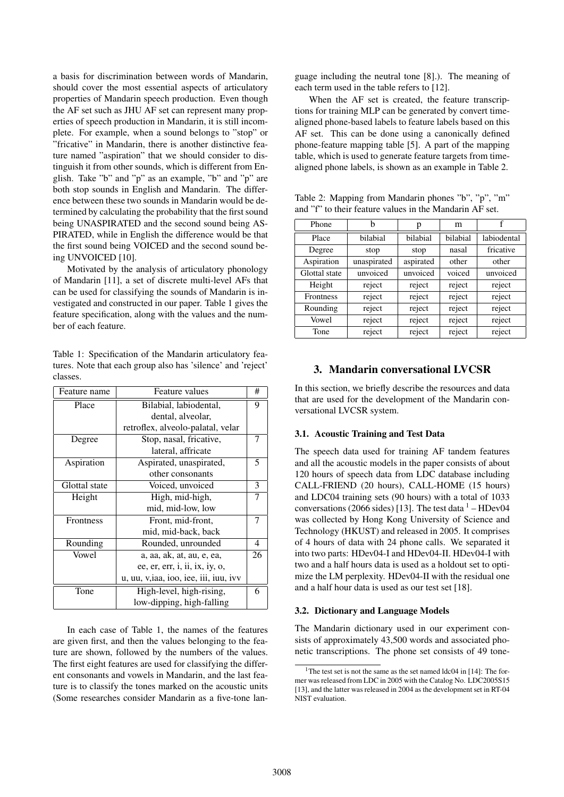a basis for discrimination between words of Mandarin, should cover the most essential aspects of articulatory properties of Mandarin speech production. Even though the AF set such as JHU AF set can represent many properties of speech production in Mandarin, it is still incomplete. For example, when a sound belongs to "stop" or "fricative" in Mandarin, there is another distinctive feature named "aspiration" that we should consider to distinguish it from other sounds, which is different from English. Take "b" and "p" as an example, "b" and "p" are both stop sounds in English and Mandarin. The difference between these two sounds in Mandarin would be determined by calculating the probability that the first sound being UNASPIRATED and the second sound being AS-PIRATED, while in English the difference would be that the first sound being VOICED and the second sound being UNVOICED [10].

Motivated by the analysis of articulatory phonology of Mandarin [11], a set of discrete multi-level AFs that can be used for classifying the sounds of Mandarin is investigated and constructed in our paper. Table 1 gives the feature specification, along with the values and the number of each feature.

Table 1: Specification of the Mandarin articulatory features. Note that each group also has 'silence' and 'reject' classes.

| Feature name  | <b>Feature values</b>                                                  | #  |
|---------------|------------------------------------------------------------------------|----|
| Place         | Bilabial, labiodental,                                                 |    |
|               | dental, alveolar,                                                      |    |
|               | retroflex, alveolo-palatal, velar                                      |    |
| Degree        | Stop, nasal, fricative,                                                | 7  |
|               | lateral, affricate                                                     |    |
| Aspiration    | Aspirated, unaspirated,                                                | 5  |
|               | other consonants                                                       |    |
| Glottal state | Voiced, unvoiced                                                       | 3  |
| Height        | High, mid-high,                                                        | 7  |
|               | mid, mid-low, low                                                      |    |
| Frontness     | Front, mid-front,                                                      | 7  |
|               | mid, mid-back, back                                                    |    |
| Rounding      | Rounded, unrounded                                                     | 4  |
| Vowel         | a, aa, ak, at, au, e, ea,                                              | 26 |
|               | ee, er, err, <i>i</i> , <i>ii</i> , <i>ix</i> , <i>iy</i> , <i>o</i> , |    |
|               | u, uu, v, iaa, ioo, iee, iii, iuu, ivv                                 |    |
| Tone          | High-level, high-rising,                                               | 6  |
|               | low-dipping, high-falling                                              |    |

In each case of Table 1, the names of the features are given first, and then the values belonging to the feature are shown, followed by the numbers of the values. The first eight features are used for classifying the different consonants and vowels in Mandarin, and the last feature is to classify the tones marked on the acoustic units (Some researches consider Mandarin as a five-tone language including the neutral tone [8].). The meaning of each term used in the table refers to [12].

When the AF set is created, the feature transcriptions for training MLP can be generated by convert timealigned phone-based labels to feature labels based on this AF set. This can be done using a canonically defined phone-feature mapping table [5]. A part of the mapping table, which is used to generate feature targets from timealigned phone labels, is shown as an example in Table 2.

Table 2: Mapping from Mandarin phones "b", "p", "m" and "f" to their feature values in the Mandarin AF set.

| Phone            | h           | p         | m        |             |
|------------------|-------------|-----------|----------|-------------|
| Place            | bilabial    | bilabial  | bilabial | labiodental |
| Degree           | stop        | stop      | nasal    | fricative   |
| Aspiration       | unaspirated | aspirated | other    | other       |
| Glottal state    | unvoiced    | unvoiced  | voiced   | unvoiced    |
| Height           | reject      | reject    | reject   | reject      |
| <b>Frontness</b> | reject      | reject    | reject   | reject      |
| Rounding         | reject      | reject    | reject   | reject      |
| Vowel            | reject      | reject    | reject   | reject      |
| Tone             | reject      | reject    | reject   | reject      |

# 3. Mandarin conversational LVCSR

In this section, we briefly describe the resources and data that are used for the development of the Mandarin conversational LVCSR system.

## 3.1. Acoustic Training and Test Data

The speech data used for training AF tandem features and all the acoustic models in the paper consists of about 120 hours of speech data from LDC database including CALL-FRIEND (20 hours), CALL-HOME (15 hours) and LDC04 training sets (90 hours) with a total of 1033 conversations (2066 sides) [13]. The test data  $1 - \text{HDev04}$ was collected by Hong Kong University of Science and Technology (HKUST) and released in 2005. It comprises of 4 hours of data with 24 phone calls. We separated it into two parts: HDev04-I and HDev04-II. HDev04-I with two and a half hours data is used as a holdout set to optimize the LM perplexity. HDev04-II with the residual one and a half hour data is used as our test set [18].

## 3.2. Dictionary and Language Models

The Mandarin dictionary used in our experiment consists of approximately 43,500 words and associated phonetic transcriptions. The phone set consists of 49 tone-

<sup>&</sup>lt;sup>1</sup>The test set is not the same as the set named  $ldc04$  in [14]: The former was released from LDC in 2005 with the Catalog No. LDC2005S15 [13], and the latter was released in 2004 as the development set in RT-04 NIST evaluation.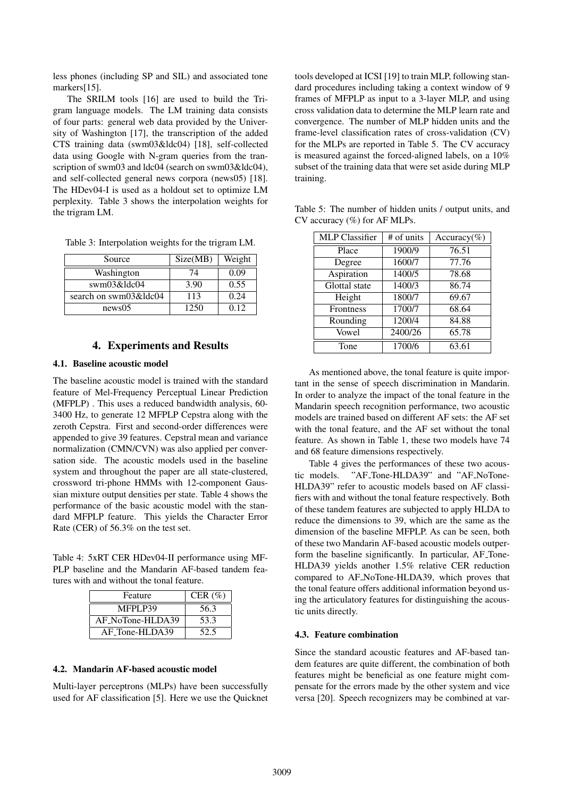less phones (including SP and SIL) and associated tone markers[15].

The SRILM tools [16] are used to build the Trigram language models. The LM training data consists of four parts: general web data provided by the University of Washington [17], the transcription of the added CTS training data (swm03&ldc04) [18], self-collected data using Google with N-gram queries from the transcription of swm03 and ldc04 (search on swm03&ldc04), and self-collected general news corpora (news05) [18]. The HDev04-I is used as a holdout set to optimize LM perplexity. Table 3 shows the interpolation weights for the trigram LM.

Table 3: Interpolation weights for the trigram LM.

| Source                | Size(MB) | Weight |
|-----------------------|----------|--------|
| Washington            | 74       | 0.09   |
| swm03&ldc04           | 3.90     | 0.55   |
| search on swm03&ldc04 | 113      | 0.24   |
| news05                | 1250     | 0.12   |

# 4. Experiments and Results

## 4.1. Baseline acoustic model

The baseline acoustic model is trained with the standard feature of Mel-Frequency Perceptual Linear Prediction (MFPLP) . This uses a reduced bandwidth analysis, 60- 3400 Hz, to generate 12 MFPLP Cepstra along with the zeroth Cepstra. First and second-order differences were appended to give 39 features. Cepstral mean and variance normalization (CMN/CVN) was also applied per conversation side. The acoustic models used in the baseline system and throughout the paper are all state-clustered, crossword tri-phone HMMs with 12-component Gaussian mixture output densities per state. Table 4 shows the performance of the basic acoustic model with the standard MFPLP feature. This yields the Character Error Rate (CER) of 56.3% on the test set.

Table 4: 5xRT CER HDev04-II performance using MF-PLP baseline and the Mandarin AF-based tandem features with and without the tonal feature.

| Feature          | CER $(\% )$ |
|------------------|-------------|
| MFPLP39          | 56.3        |
| AF_NoTone-HLDA39 | 53.3        |
| AF_Tone-HLDA39   | 52.5        |

#### 4.2. Mandarin AF-based acoustic model

Multi-layer perceptrons (MLPs) have been successfully used for AF classification [5]. Here we use the Quicknet tools developed at ICSI [19] to train MLP, following standard procedures including taking a context window of 9 frames of MFPLP as input to a 3-layer MLP, and using cross validation data to determine the MLP learn rate and convergence. The number of MLP hidden units and the frame-level classification rates of cross-validation (CV) for the MLPs are reported in Table 5. The CV accuracy is measured against the forced-aligned labels, on a 10% subset of the training data that were set aside during MLP training.

| <b>MLP</b> Classifier | # of units | Accuracy(%) |
|-----------------------|------------|-------------|
| Place                 | 1900/9     | 76.51       |
| Degree                | 1600/7     | 77.76       |
| Aspiration            | 1400/5     | 78.68       |
| Glottal state         | 1400/3     | 86.74       |
| Height                | 1800/7     | 69.67       |
| Frontness             | 1700/7     | 68.64       |
| Rounding              | 1200/4     | 84.88       |
| Vowel                 | 2400/26    | 65.78       |
| Tone                  | 1700/6     | 63.61       |

Table 5: The number of hidden units / output units, and CV accuracy (%) for AF MLPs.

As mentioned above, the tonal feature is quite important in the sense of speech discrimination in Mandarin. In order to analyze the impact of the tonal feature in the Mandarin speech recognition performance, two acoustic models are trained based on different AF sets: the AF set with the tonal feature, and the AF set without the tonal feature. As shown in Table 1, these two models have 74 and 68 feature dimensions respectively.

Table 4 gives the performances of these two acoustic models. "AF Tone-HLDA39" and "AF NoTone-HLDA39" refer to acoustic models based on AF classifiers with and without the tonal feature respectively. Both of these tandem features are subjected to apply HLDA to reduce the dimensions to 39, which are the same as the dimension of the baseline MFPLP. As can be seen, both of these two Mandarin AF-based acoustic models outperform the baseline significantly. In particular, AF Tone-HLDA39 yields another 1.5% relative CER reduction compared to AF NoTone-HLDA39, which proves that the tonal feature offers additional information beyond using the articulatory features for distinguishing the acoustic units directly.

#### 4.3. Feature combination

Since the standard acoustic features and AF-based tandem features are quite different, the combination of both features might be beneficial as one feature might compensate for the errors made by the other system and vice versa [20]. Speech recognizers may be combined at var